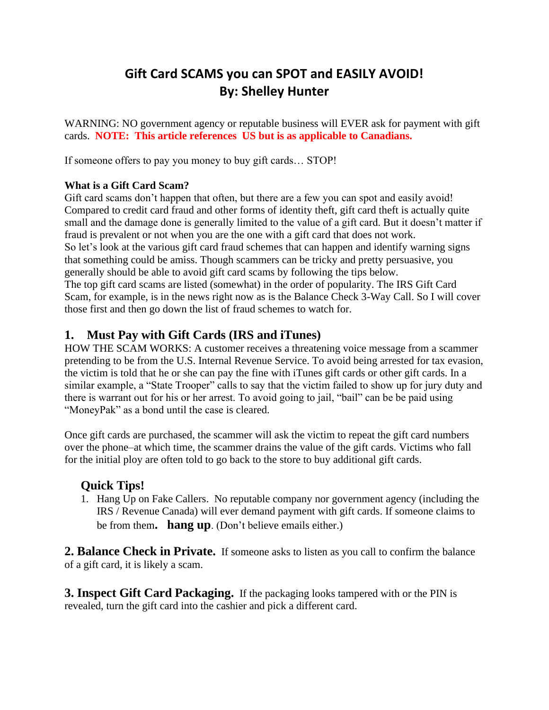# **Gift Card SCAMS you can SPOT and EASILY AVOID! By: Shelley Hunter**

WARNING: NO government agency or reputable business will EVER ask for payment with gift cards. **NOTE: This article references US but is as applicable to Canadians.** 

If someone offers to pay you money to buy gift cards… STOP!

## **What is a Gift Card Scam?**

Gift card scams don't happen that often, but there are a few you can spot and easily avoid! Compared to credit card fraud and other forms of identity theft, gift card theft is actually quite small and the damage done is generally limited to the value of a gift card. But it doesn't matter if fraud is prevalent or not when you are the one with a gift card that does not work. So let's look at the various gift card fraud schemes that can happen and identify warning signs that something could be amiss. Though scammers can be tricky and pretty persuasive, you generally should be able to avoid gift card scams by following the tips below. The top gift card scams are listed (somewhat) in the order of popularity. The IRS Gift Card Scam, for example, is in the news right now as is the Balance Check 3-Way Call. So I will cover those first and then go down the list of fraud schemes to watch for.

# **1. Must Pay with Gift Cards (IRS and iTunes)**

HOW THE SCAM WORKS: A customer receives a threatening voice message from a scammer pretending to be from the U.S. Internal Revenue Service. To avoid being arrested for tax evasion, the victim is told that he or she can pay the fine with iTunes gift cards or other gift cards. In a similar example, a "State Trooper" calls to say that the victim failed to show up for jury duty and there is warrant out for his or her arrest. To avoid going to jail, "bail" can be be paid using "MoneyPak" as a bond until the case is cleared.

Once gift cards are purchased, the scammer will ask the victim to repeat the gift card numbers over the phone–at which time, the scammer drains the value of the gift cards. Victims who fall for the initial ploy are often told to go back to the store to buy additional gift cards.

## **Quick Tips!**

1. Hang Up on Fake Callers. No reputable company nor government agency (including the IRS / Revenue Canada) will ever demand payment with gift cards. If someone claims to be from them**. hang up**. (Don't believe emails either.)

**2. Balance Check in Private.** If someone asks to listen as you call to confirm the balance of a gift card, it is likely a scam.

**3. Inspect Gift Card Packaging.** If the packaging looks tampered with or the PIN is revealed, turn the gift card into the cashier and pick a different card.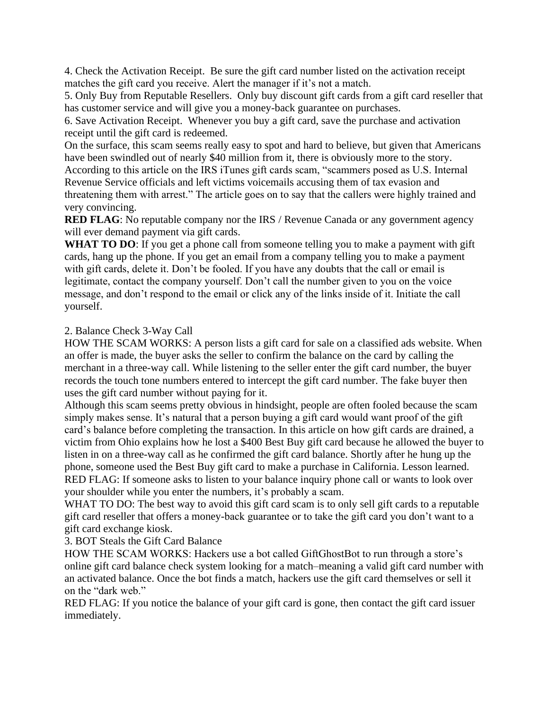4. Check the Activation Receipt. Be sure the gift card number listed on the activation receipt matches the gift card you receive. Alert the manager if it's not a match.

5. Only Buy from Reputable Resellers. Only buy discount gift cards from a gift card reseller that has customer service and will give you a money-back guarantee on purchases.

6. Save Activation Receipt. Whenever you buy a gift card, save the purchase and activation receipt until the gift card is redeemed.

On the surface, this scam seems really easy to spot and hard to believe, but given that Americans have been swindled out of nearly \$40 million from it, there is obviously more to the story. According to this article on the IRS iTunes gift cards scam, "scammers posed as U.S. Internal Revenue Service officials and left victims voicemails accusing them of tax evasion and threatening them with arrest." The article goes on to say that the callers were highly trained and very convincing.

**RED FLAG**: No reputable company nor the IRS / Revenue Canada or any government agency will ever demand payment via gift cards.

**WHAT TO DO:** If you get a phone call from someone telling you to make a payment with gift cards, hang up the phone. If you get an email from a company telling you to make a payment with gift cards, delete it. Don't be fooled. If you have any doubts that the call or email is legitimate, contact the company yourself. Don't call the number given to you on the voice message, and don't respond to the email or click any of the links inside of it. Initiate the call yourself.

### 2. Balance Check 3-Way Call

HOW THE SCAM WORKS: A person lists a gift card for sale on a classified ads website. When an offer is made, the buyer asks the seller to confirm the balance on the card by calling the merchant in a three-way call. While listening to the seller enter the gift card number, the buyer records the touch tone numbers entered to intercept the gift card number. The fake buyer then uses the gift card number without paying for it.

Although this scam seems pretty obvious in hindsight, people are often fooled because the scam simply makes sense. It's natural that a person buying a gift card would want proof of the gift card's balance before completing the transaction. In this article on how gift cards are drained, a victim from Ohio explains how he lost a \$400 Best Buy gift card because he allowed the buyer to listen in on a three-way call as he confirmed the gift card balance. Shortly after he hung up the phone, someone used the Best Buy gift card to make a purchase in California. Lesson learned. RED FLAG: If someone asks to listen to your balance inquiry phone call or wants to look over your shoulder while you enter the numbers, it's probably a scam.

WHAT TO DO: The best way to avoid this gift card scam is to only sell gift cards to a reputable gift card reseller that offers a money-back guarantee or to take the gift card you don't want to a gift card exchange kiosk.

3. BOT Steals the Gift Card Balance

HOW THE SCAM WORKS: Hackers use a bot called GiftGhostBot to run through a store's online gift card balance check system looking for a match–meaning a valid gift card number with an activated balance. Once the bot finds a match, hackers use the gift card themselves or sell it on the "dark web."

RED FLAG: If you notice the balance of your gift card is gone, then contact the gift card issuer immediately.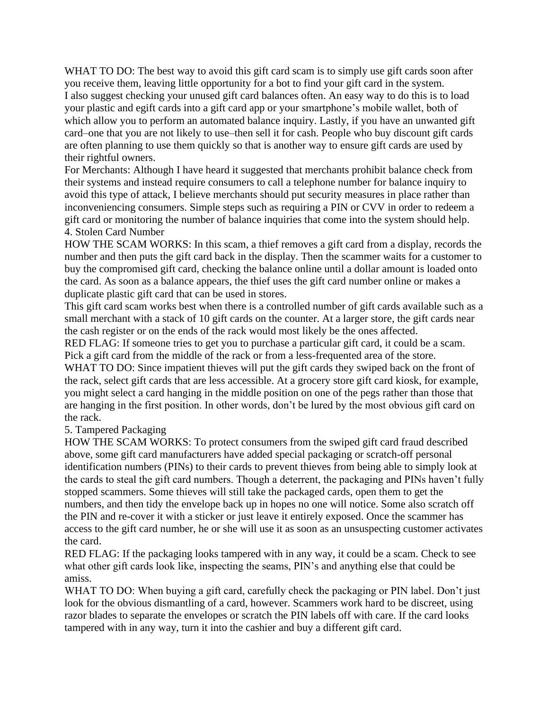WHAT TO DO: The best way to avoid this gift card scam is to simply use gift cards soon after you receive them, leaving little opportunity for a bot to find your gift card in the system. I also suggest checking your unused gift card balances often. An easy way to do this is to load your plastic and egift cards into a gift card app or your smartphone's mobile wallet, both of which allow you to perform an automated balance inquiry. Lastly, if you have an unwanted gift card–one that you are not likely to use–then sell it for cash. People who buy discount gift cards are often planning to use them quickly so that is another way to ensure gift cards are used by their rightful owners.

For Merchants: Although I have heard it suggested that merchants prohibit balance check from their systems and instead require consumers to call a telephone number for balance inquiry to avoid this type of attack, I believe merchants should put security measures in place rather than inconveniencing consumers. Simple steps such as requiring a PIN or CVV in order to redeem a gift card or monitoring the number of balance inquiries that come into the system should help. 4. Stolen Card Number

HOW THE SCAM WORKS: In this scam, a thief removes a gift card from a display, records the number and then puts the gift card back in the display. Then the scammer waits for a customer to buy the compromised gift card, checking the balance online until a dollar amount is loaded onto the card. As soon as a balance appears, the thief uses the gift card number online or makes a duplicate plastic gift card that can be used in stores.

This gift card scam works best when there is a controlled number of gift cards available such as a small merchant with a stack of 10 gift cards on the counter. At a larger store, the gift cards near the cash register or on the ends of the rack would most likely be the ones affected.

RED FLAG: If someone tries to get you to purchase a particular gift card, it could be a scam. Pick a gift card from the middle of the rack or from a less-frequented area of the store.

WHAT TO DO: Since impatient thieves will put the gift cards they swiped back on the front of the rack, select gift cards that are less accessible. At a grocery store gift card kiosk, for example, you might select a card hanging in the middle position on one of the pegs rather than those that are hanging in the first position. In other words, don't be lured by the most obvious gift card on the rack.

#### 5. Tampered Packaging

HOW THE SCAM WORKS: To protect consumers from the swiped gift card fraud described above, some gift card manufacturers have added special packaging or scratch-off personal identification numbers (PINs) to their cards to prevent thieves from being able to simply look at the cards to steal the gift card numbers. Though a deterrent, the packaging and PINs haven't fully stopped scammers. Some thieves will still take the packaged cards, open them to get the numbers, and then tidy the envelope back up in hopes no one will notice. Some also scratch off the PIN and re-cover it with a sticker or just leave it entirely exposed. Once the scammer has access to the gift card number, he or she will use it as soon as an unsuspecting customer activates the card.

RED FLAG: If the packaging looks tampered with in any way, it could be a scam. Check to see what other gift cards look like, inspecting the seams, PIN's and anything else that could be amiss.

WHAT TO DO: When buying a gift card, carefully check the packaging or PIN label. Don't just look for the obvious dismantling of a card, however. Scammers work hard to be discreet, using razor blades to separate the envelopes or scratch the PIN labels off with care. If the card looks tampered with in any way, turn it into the cashier and buy a different gift card.